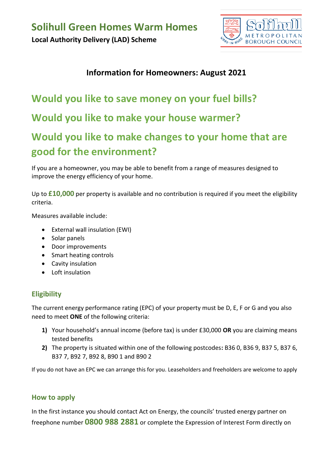

### **Information for Homeowners: August 2021**

## **Would you like to save money on your fuel bills?**

**Would you like to make your house warmer?**

## **Would you like to make changes to your home that are good for the environment?**

If you are a homeowner, you may be able to benefit from a range of measures designed to improve the energy efficiency of your home.

Up to **£10,000** per property is available and no contribution is required if you meet the eligibility criteria.

Measures available include:

- External wall insulation (EWI)
- Solar panels
- Door improvements
- Smart heating controls
- Cavity insulation
- Loft insulation

#### **Eligibility**

The current energy performance rating (EPC) of your property must be D, E, F or G and you also need to meet **ONE** of the following criteria:

- **1)** Your household's annual income (before tax) is under £30,000 **OR** you are claiming means tested benefits
- **2)** The property is situated within one of the following postcodes**:** B36 0, B36 9, B37 5, B37 6, B37 7, B92 7, B92 8, B90 1 and B90 2

If you do not have an EPC we can arrange this for you. Leaseholders and freeholders are welcome to apply

#### **How to apply**

In the first instance you should contact Act on Energy, the councils' trusted energy partner on freephone number **0800 988 2881** or complete the Expression of Interest Form directly on